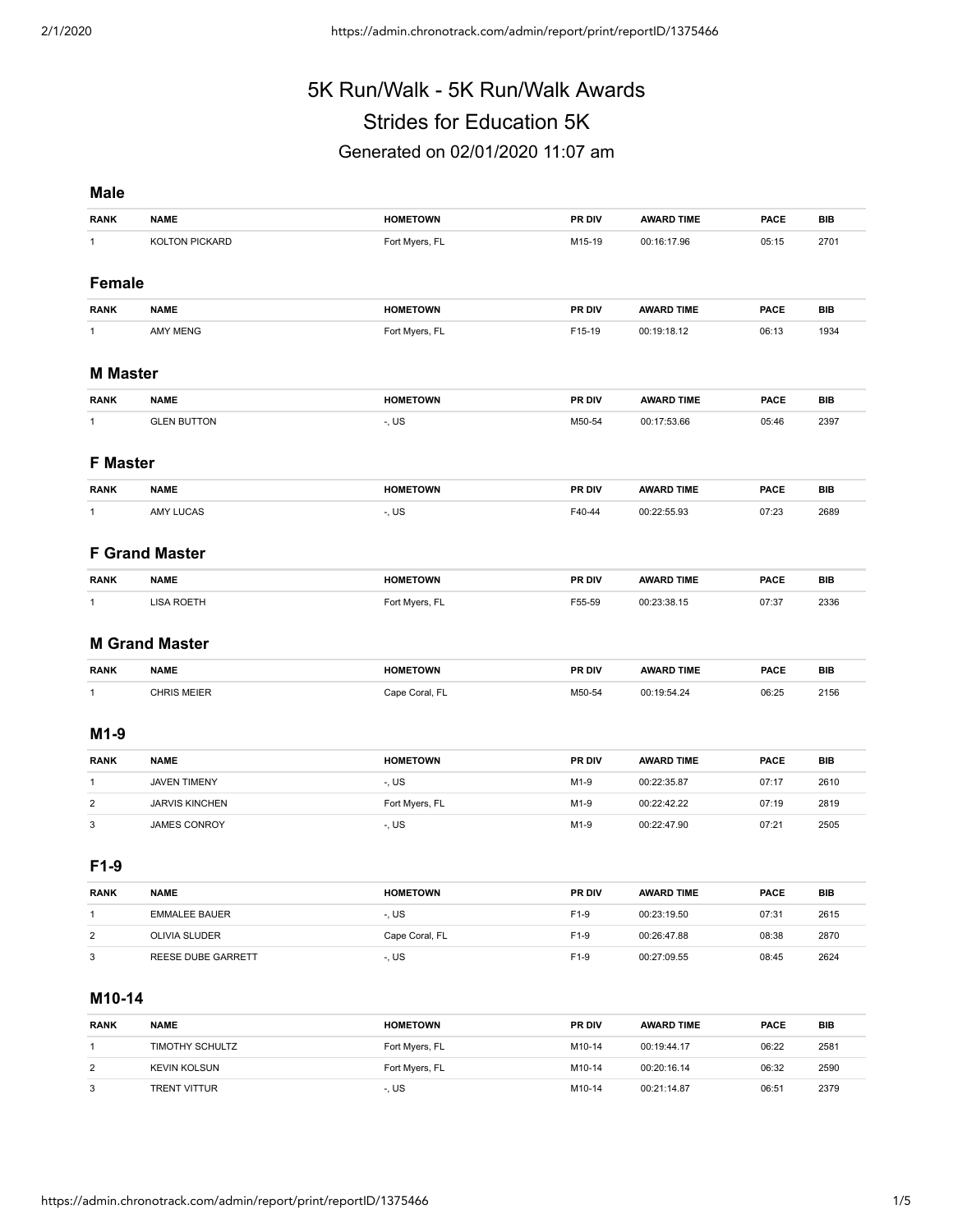# 5K Run/Walk - 5K Run/Walk Awards Strides for Education 5K

# Generated on 02/01/2020 11:07 am

#### **Male**

| <b>RANK</b>                                                                                                                             | <b>NAME</b>                         | <b>HOMETOWN</b>         | PR DIV       | <b>AWARD TIME</b>          | <b>PACE</b>    | <b>BIB</b>   |  |  |  |  |
|-----------------------------------------------------------------------------------------------------------------------------------------|-------------------------------------|-------------------------|--------------|----------------------------|----------------|--------------|--|--|--|--|
| $\mathbf{1}$                                                                                                                            | KOLTON PICKARD                      | Fort Myers, FL          | M15-19       | 00:16:17.96                | 05:15          | 2701         |  |  |  |  |
|                                                                                                                                         |                                     |                         |              |                            |                |              |  |  |  |  |
| <b>Female</b>                                                                                                                           |                                     |                         |              |                            |                |              |  |  |  |  |
| <b>RANK</b>                                                                                                                             | <b>NAME</b>                         | <b>HOMETOWN</b>         | PR DIV       | <b>AWARD TIME</b>          | <b>PACE</b>    | <b>BIB</b>   |  |  |  |  |
| $\mathbf{1}$                                                                                                                            | <b>AMY MENG</b>                     | Fort Myers, FL          | F15-19       | 00:19:18.12                | 06:13          | 1934         |  |  |  |  |
| <b>M</b> Master                                                                                                                         |                                     |                         |              |                            |                |              |  |  |  |  |
| <b>RANK</b>                                                                                                                             | <b>NAME</b>                         | <b>HOMETOWN</b>         | PR DIV       | <b>AWARD TIME</b>          | <b>PACE</b>    | <b>BIB</b>   |  |  |  |  |
| $\mathbf{1}$                                                                                                                            | <b>GLEN BUTTON</b>                  | $-$ , US                | M50-54       | 00:17:53.66                | 05:46          | 2397         |  |  |  |  |
|                                                                                                                                         |                                     |                         |              |                            |                |              |  |  |  |  |
| <b>F</b> Master                                                                                                                         |                                     |                         |              |                            |                |              |  |  |  |  |
| <b>RANK</b>                                                                                                                             | <b>NAME</b>                         | <b>HOMETOWN</b>         | PR DIV       | <b>AWARD TIME</b>          | <b>PACE</b>    | <b>BIB</b>   |  |  |  |  |
| $\mathbf{1}$                                                                                                                            | <b>AMY LUCAS</b>                    | -, US                   | F40-44       | 00:22:55.93                | 07:23          | 2689         |  |  |  |  |
|                                                                                                                                         |                                     |                         |              |                            |                |              |  |  |  |  |
| <b>F Grand Master</b>                                                                                                                   |                                     |                         |              |                            |                |              |  |  |  |  |
| <b>RANK</b>                                                                                                                             | <b>NAME</b>                         | <b>HOMETOWN</b>         | PR DIV       | <b>AWARD TIME</b>          | <b>PACE</b>    | <b>BIB</b>   |  |  |  |  |
| $\mathbf{1}$                                                                                                                            | <b>LISA ROETH</b>                   | Fort Myers, FL          | F55-59       | 00:23:38.15                | 07:37          | 2336         |  |  |  |  |
|                                                                                                                                         |                                     |                         |              |                            |                |              |  |  |  |  |
| <b>M Grand Master</b>                                                                                                                   |                                     |                         |              |                            |                |              |  |  |  |  |
|                                                                                                                                         |                                     |                         |              |                            |                |              |  |  |  |  |
|                                                                                                                                         | <b>NAME</b>                         | <b>HOMETOWN</b>         | PR DIV       | <b>AWARD TIME</b>          | <b>PACE</b>    | <b>BIB</b>   |  |  |  |  |
| <b>RANK</b><br>$\mathbf{1}$                                                                                                             | <b>CHRIS MEIER</b>                  | Cape Coral, FL          | M50-54       | 00:19:54.24                | 06:25          | 2156         |  |  |  |  |
|                                                                                                                                         |                                     |                         |              |                            |                |              |  |  |  |  |
|                                                                                                                                         |                                     |                         |              |                            |                |              |  |  |  |  |
|                                                                                                                                         | <b>NAME</b>                         | <b>HOMETOWN</b>         | PR DIV       | <b>AWARD TIME</b>          | <b>PACE</b>    | <b>BIB</b>   |  |  |  |  |
|                                                                                                                                         | <b>JAVEN TIMENY</b>                 | -, US                   | M1-9         | 00:22:35.87                | 07:17          | 2610         |  |  |  |  |
|                                                                                                                                         | <b>JARVIS KINCHEN</b>               | Fort Myers, FL          | M1-9         | 00:22:42.22                | 07:19          | 2819         |  |  |  |  |
|                                                                                                                                         | <b>JAMES CONROY</b>                 | -, US                   | M1-9         | 00:22:47.90                | 07:21          | 2505         |  |  |  |  |
|                                                                                                                                         |                                     |                         |              |                            |                |              |  |  |  |  |
|                                                                                                                                         |                                     |                         |              |                            |                |              |  |  |  |  |
|                                                                                                                                         | <b>NAME</b>                         | <b>HOMETOWN</b>         | PR DIV       | <b>AWARD TIME</b>          | <b>PACE</b>    | BIB          |  |  |  |  |
|                                                                                                                                         | <b>EMMALEE BAUER</b>                | -, US                   | F1-9         | 00:23:19.50                | 07:31          | 2615         |  |  |  |  |
| $M1-9$<br><b>RANK</b><br>$\mathbf{1}$<br>$\overline{2}$<br>3<br>F <sub>1</sub> -9<br><b>RANK</b><br>$\mathbf{1}$<br>$\overline{2}$<br>3 | OLIVIA SLUDER<br>REESE DUBE GARRETT | Cape Coral, FL<br>-, US | F1-9<br>F1-9 | 00:26:47.88<br>00:27:09.55 | 08:38<br>08:45 | 2870<br>2624 |  |  |  |  |

#### **M10-14**

| <b>RANK</b> | <b>NAME</b>         | <b>HOMETOWN</b> | <b>PR DIV</b> | <b>AWARD TIME</b> | <b>PACE</b> | BIB  |
|-------------|---------------------|-----------------|---------------|-------------------|-------------|------|
|             | TIMOTHY SCHULTZ     | Fort Myers, FL  | M10-14        | 00:19:44.17       | 06:22       | 2581 |
| 2           | <b>KEVIN KOLSUN</b> | Fort Myers, FL  | M10-14        | 00:20:16.14       | 06:32       | 2590 |
| 3           | <b>TRENT VITTUR</b> | -. US           | M10-14        | 00:21:14.87       | 06:51       | 2379 |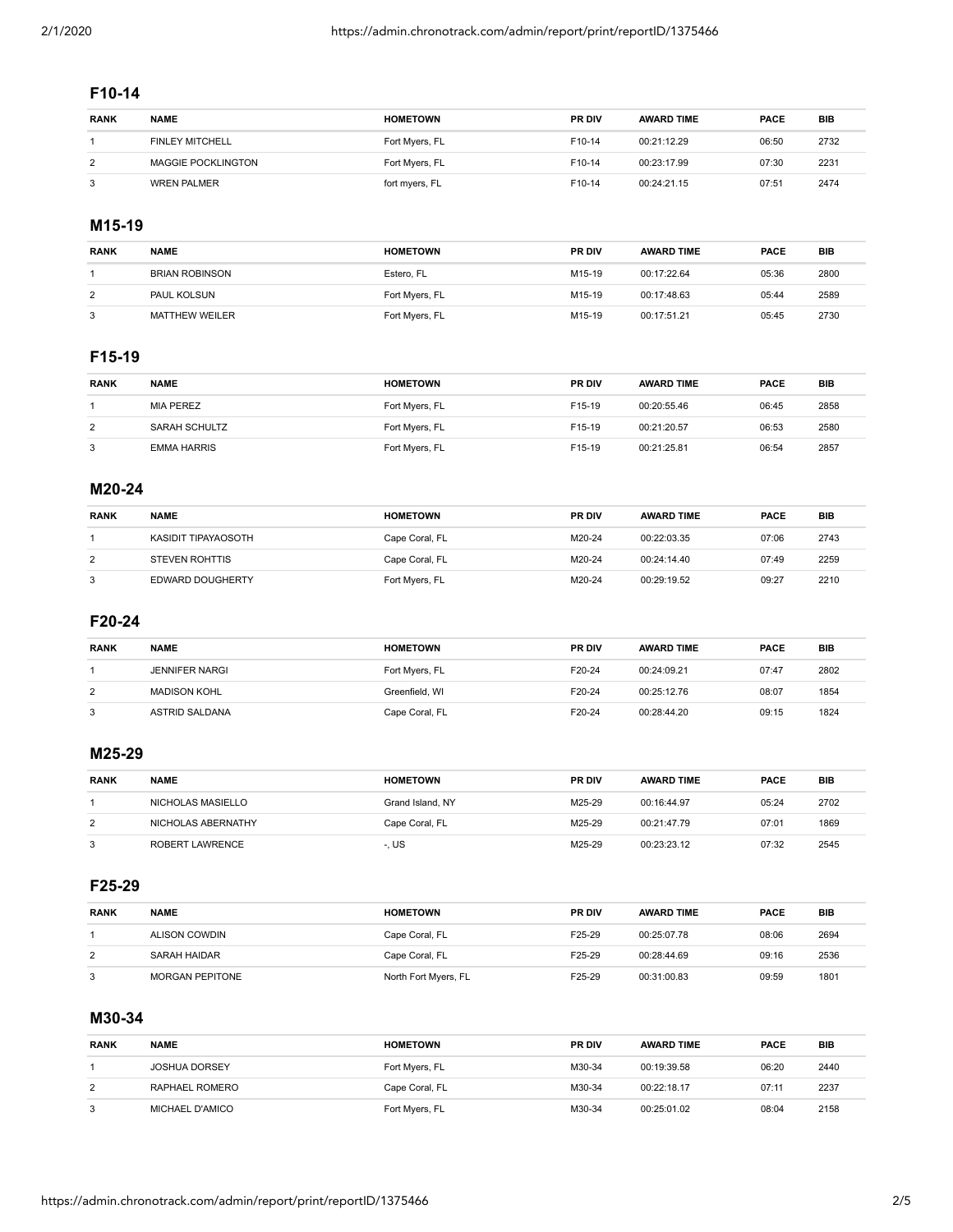### **F10-14**

| <b>RANK</b> | <b>NAME</b>               | <b>HOMETOWN</b> | <b>PR DIV</b> | <b>AWARD TIME</b> | <b>PACE</b> | BIB  |
|-------------|---------------------------|-----------------|---------------|-------------------|-------------|------|
|             | <b>FINLEY MITCHELL</b>    | Fort Myers, FL  | F10-14        | 00:21:12.29       | 06:50       | 2732 |
| 2           | <b>MAGGIE POCKLINGTON</b> | Fort Myers, FL  | F10-14        | 00:23:17.99       | 07:30       | 2231 |
| 3           | <b>WREN PALMER</b>        | fort myers, FL  | F10-14        | 00:24:21.15       | 07:51       | 2474 |

#### **M15-19**

| <b>RANK</b> | <b>NAME</b>           | <b>HOMETOWN</b> | <b>PR DIV</b>      | <b>AWARD TIME</b> | PACE  | BIB  |
|-------------|-----------------------|-----------------|--------------------|-------------------|-------|------|
|             | <b>BRIAN ROBINSON</b> | Estero, FL      | M <sub>15-19</sub> | 00:17:22.64       | 05:36 | 2800 |
| 2           | <b>PAUL KOLSUN</b>    | Fort Myers, FL  | M15-19             | 00:17:48.63       | 05:44 | 2589 |
|             | <b>MATTHEW WEILER</b> | Fort Myers, FL  | M15-19             | 00:17:51.21       | 05:45 | 2730 |

### **F15-19**

| <b>RANK</b> | <b>NAME</b>        | <b>HOMETOWN</b> | <b>PR DIV</b> | <b>AWARD TIME</b> | <b>PACE</b> | <b>BIB</b> |
|-------------|--------------------|-----------------|---------------|-------------------|-------------|------------|
|             | <b>MIA PEREZ</b>   | Fort Myers, FL  | F15-19        | 00:20:55.46       | 06:45       | 2858       |
| 2           | SARAH SCHULTZ      | Fort Myers, FL  | F15-19        | 00:21:20.57       | 06:53       | 2580       |
| 3           | <b>EMMA HARRIS</b> | Fort Myers, FL  | F15-19        | 00:21:25.81       | 06:54       | 2857       |

#### **M20-24**

| <b>RANK</b> | <b>NAME</b>           | <b>HOMETOWN</b> | <b>PR DIV</b> | <b>AWARD TIME</b> | <b>PACE</b> | <b>BIB</b> |
|-------------|-----------------------|-----------------|---------------|-------------------|-------------|------------|
|             | KASIDIT TIPAYAOSOTH   | Cape Coral, FL  | M20-24        | 00:22:03.35       | 07:06       | 2743       |
| 2           | <b>STEVEN ROHTTIS</b> | Cape Coral, FL  | M20-24        | 00:24:14.40       | 07:49       | 2259       |
| 3           | EDWARD DOUGHERTY      | Fort Myers, FL  | M20-24        | 00:29:19.52       | 09:27       | 2210       |

#### **F20-24**

| <b>RANK</b> | <b>NAME</b>           | <b>HOMETOWN</b> | <b>PR DIV</b> | <b>AWARD TIME</b> | <b>PACE</b> | <b>BIB</b> |
|-------------|-----------------------|-----------------|---------------|-------------------|-------------|------------|
|             | <b>JENNIFER NARGI</b> | Fort Myers, FL  | F20-24        | 00:24:09.21       | 07:47       | 2802       |
| 2           | <b>MADISON KOHL</b>   | Greenfield, WI  | F20-24        | 00:25:12.76       | 08:07       | 1854       |
| 3           | ASTRID SALDANA        | Cape Coral, FL  | F20-24        | 00:28:44.20       | 09:15       | 1824       |

#### **M25-29**

| <b>RANK</b> | <b>NAME</b>        | <b>HOMETOWN</b>  | <b>PR DIV</b> | <b>AWARD TIME</b> | <b>PACE</b> | <b>BIB</b> |
|-------------|--------------------|------------------|---------------|-------------------|-------------|------------|
|             | NICHOLAS MASIELLO  | Grand Island, NY | M25-29        | 00:16:44.97       | 05:24       | 2702       |
| 2           | NICHOLAS ABERNATHY | Cape Coral, FL   | M25-29        | 00:21:47.79       | 07:01       | 1869       |
|             | ROBERT LAWRENCE    | -. US            | M25-29        | 00:23:23.12       | 07:32       | 2545       |

#### **F25-29**

| <b>RANK</b> | <b>NAME</b>            | <b>HOMETOWN</b>      | <b>PR DIV</b> | <b>AWARD TIME</b> | <b>PACE</b> | <b>BIB</b> |
|-------------|------------------------|----------------------|---------------|-------------------|-------------|------------|
|             | ALISON COWDIN          | Cape Coral, FL       | F25-29        | 00:25:07.78       | 08:06       | 2694       |
| 2           | SARAH HAIDAR           | Cape Coral, FL       | F25-29        | 00:28:44.69       | 09:16       | 2536       |
| 3           | <b>MORGAN PEPITONE</b> | North Fort Myers, FL | F25-29        | 00:31:00.83       | 09:59       | 1801       |

# **M30-34**

| <b>RANK</b> | <b>NAME</b>          | <b>HOMETOWN</b> | <b>PR DIV</b> | <b>AWARD TIME</b> | PACE  | <b>BIB</b> |
|-------------|----------------------|-----------------|---------------|-------------------|-------|------------|
|             | <b>JOSHUA DORSEY</b> | Fort Myers, FL  | M30-34        | 00:19:39.58       | 06:20 | 2440       |
| 2           | RAPHAEL ROMERO       | Cape Coral, FL  | M30-34        | 00:22:18.17       | 07:11 | 2237       |
| 3           | MICHAEL D'AMICO      | Fort Myers, FL  | M30-34        | 00:25:01.02       | 08:04 | 2158       |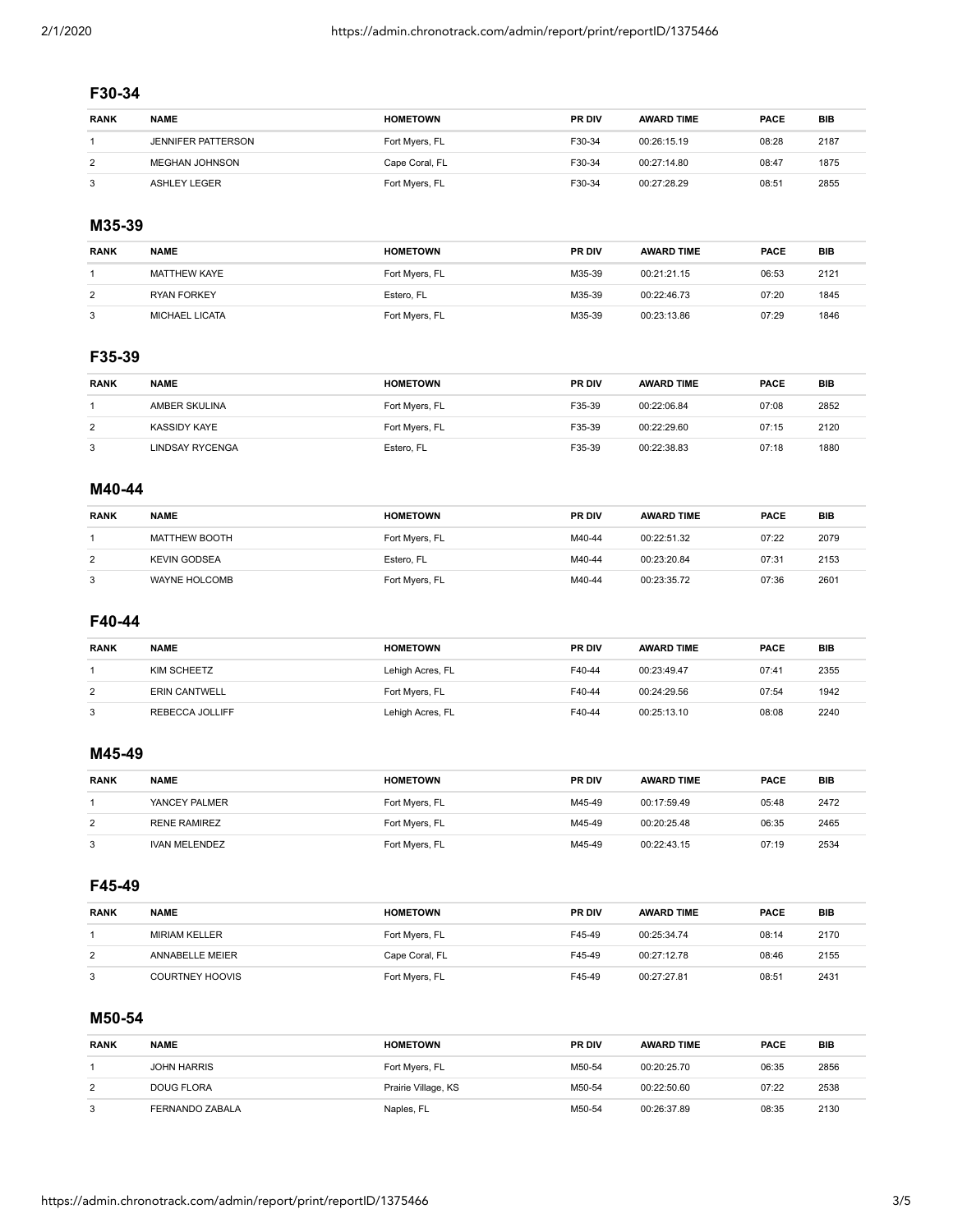# **F30-34**

| <b>RANK</b> | <b>NAME</b>               | <b>HOMETOWN</b> | <b>PR DIV</b> | <b>AWARD TIME</b> | <b>PACE</b> | BIB  |
|-------------|---------------------------|-----------------|---------------|-------------------|-------------|------|
|             | <b>JENNIFER PATTERSON</b> | Fort Myers, FL  | F30-34        | 00:26:15.19       | 08:28       | 2187 |
| 2           | <b>MEGHAN JOHNSON</b>     | Cape Coral, FL  | F30-34        | 00:27:14.80       | 08:47       | 1875 |
| 3           | ASHLEY LEGER              | Fort Myers, FL  | F30-34        | 00:27:28.29       | 08:51       | 2855 |

#### **M35-39**

| <b>RANK</b> | <b>NAME</b>           | <b>HOMETOWN</b> | <b>PR DIV</b> | <b>AWARD TIME</b> | <b>PACE</b> | BIB  |
|-------------|-----------------------|-----------------|---------------|-------------------|-------------|------|
|             | MATTHEW KAYE          | Fort Myers, FL  | M35-39        | 00:21:21.15       | 06:53       | 2121 |
| 2           | <b>RYAN FORKEY</b>    | Estero, FL      | M35-39        | 00:22:46.73       | 07:20       | 1845 |
| 3           | <b>MICHAEL LICATA</b> | Fort Myers, FL  | M35-39        | 00:23:13.86       | 07:29       | 1846 |

#### **F35-39**

| <b>RANK</b> | <b>NAME</b>     | <b>HOMETOWN</b> | <b>PR DIV</b> | <b>AWARD TIME</b> | <b>PACE</b> | <b>BIB</b> |
|-------------|-----------------|-----------------|---------------|-------------------|-------------|------------|
|             | AMBER SKULINA   | Fort Myers, FL  | F35-39        | 00:22:06.84       | 07:08       | 2852       |
| 2           | KASSIDY KAYE    | Fort Myers, FL  | F35-39        | 00:22:29.60       | 07:15       | 2120       |
| 3           | LINDSAY RYCENGA | Estero, FL      | F35-39        | 00:22:38.83       | 07:18       | 1880       |

#### **M40-44**

| <b>RANK</b> | <b>NAME</b>         | <b>HOMETOWN</b> | <b>PR DIV</b> | <b>AWARD TIME</b> | PACE  | <b>BIB</b> |
|-------------|---------------------|-----------------|---------------|-------------------|-------|------------|
|             | MATTHEW BOOTH       | Fort Myers, FL  | M40-44        | 00:22:51.32       | 07:22 | 2079       |
| 2           | <b>KEVIN GODSEA</b> | Estero, FL      | M40-44        | 00:23:20.84       | 07:31 | 2153       |
| 3           | WAYNE HOLCOMB       | Fort Myers, FL  | M40-44        | 00:23:35.72       | 07:36 | 2601       |

#### **F40-44**

| <b>RANK</b> | <b>NAME</b>          | <b>HOMETOWN</b>  | <b>PR DIV</b> | <b>AWARD TIME</b> | <b>PACE</b> | <b>BIB</b> |
|-------------|----------------------|------------------|---------------|-------------------|-------------|------------|
|             | KIM SCHEETZ          | Lehigh Acres, FL | F40-44        | 00:23:49.47       | 07:41       | 2355       |
| 2           | <b>ERIN CANTWELL</b> | Fort Myers, FL   | F40-44        | 00:24:29.56       | 07:54       | 1942       |
| 3           | REBECCA JOLLIFF      | Lehigh Acres, FL | F40-44        | 00:25:13.10       | 08:08       | 2240       |

#### **M45-49**

| <b>RANK</b> | <b>NAME</b>          | <b>HOMETOWN</b> | <b>PR DIV</b> | <b>AWARD TIME</b> | <b>PACE</b> | <b>BIB</b> |
|-------------|----------------------|-----------------|---------------|-------------------|-------------|------------|
|             | YANCEY PALMER        | Fort Myers, FL  | M45-49        | 00:17:59.49       | 05:48       | 2472       |
| 2           | <b>RENE RAMIREZ</b>  | Fort Myers, FL  | M45-49        | 00:20:25.48       | 06:35       | 2465       |
|             | <b>IVAN MELENDEZ</b> | Fort Myers, FL  | M45-49        | 00:22:43.15       | 07:19       | 2534       |

#### **F45-49**

| <b>RANK</b> | <b>NAME</b>          | <b>HOMETOWN</b> | <b>PR DIV</b> | <b>AWARD TIME</b> | <b>PACE</b> | <b>BIB</b> |
|-------------|----------------------|-----------------|---------------|-------------------|-------------|------------|
|             | <b>MIRIAM KELLER</b> | Fort Myers, FL  | F45-49        | 00:25:34.74       | 08:14       | 2170       |
| 2           | ANNABELLE MEIER      | Cape Coral, FL  | F45-49        | 00:27:12.78       | 08:46       | 2155       |
| 3           | COURTNEY HOOVIS      | Fort Myers, FL  | F45-49        | 00:27:27.81       | 08:51       | 2431       |

# **M50-54**

| <b>RANK</b> | <b>NAME</b>        | <b>HOMETOWN</b>     | <b>PR DIV</b> | <b>AWARD TIME</b> | <b>PACE</b> | <b>BIB</b> |
|-------------|--------------------|---------------------|---------------|-------------------|-------------|------------|
|             | <b>JOHN HARRIS</b> | Fort Myers, FL      | M50-54        | 00:20:25.70       | 06:35       | 2856       |
| 2           | DOUG FLORA         | Prairie Village, KS | M50-54        | 00:22:50.60       | 07:22       | 2538       |
| 3           | FERNANDO ZABALA    | Naples, FL          | M50-54        | 00:26:37.89       | 08:35       | 2130       |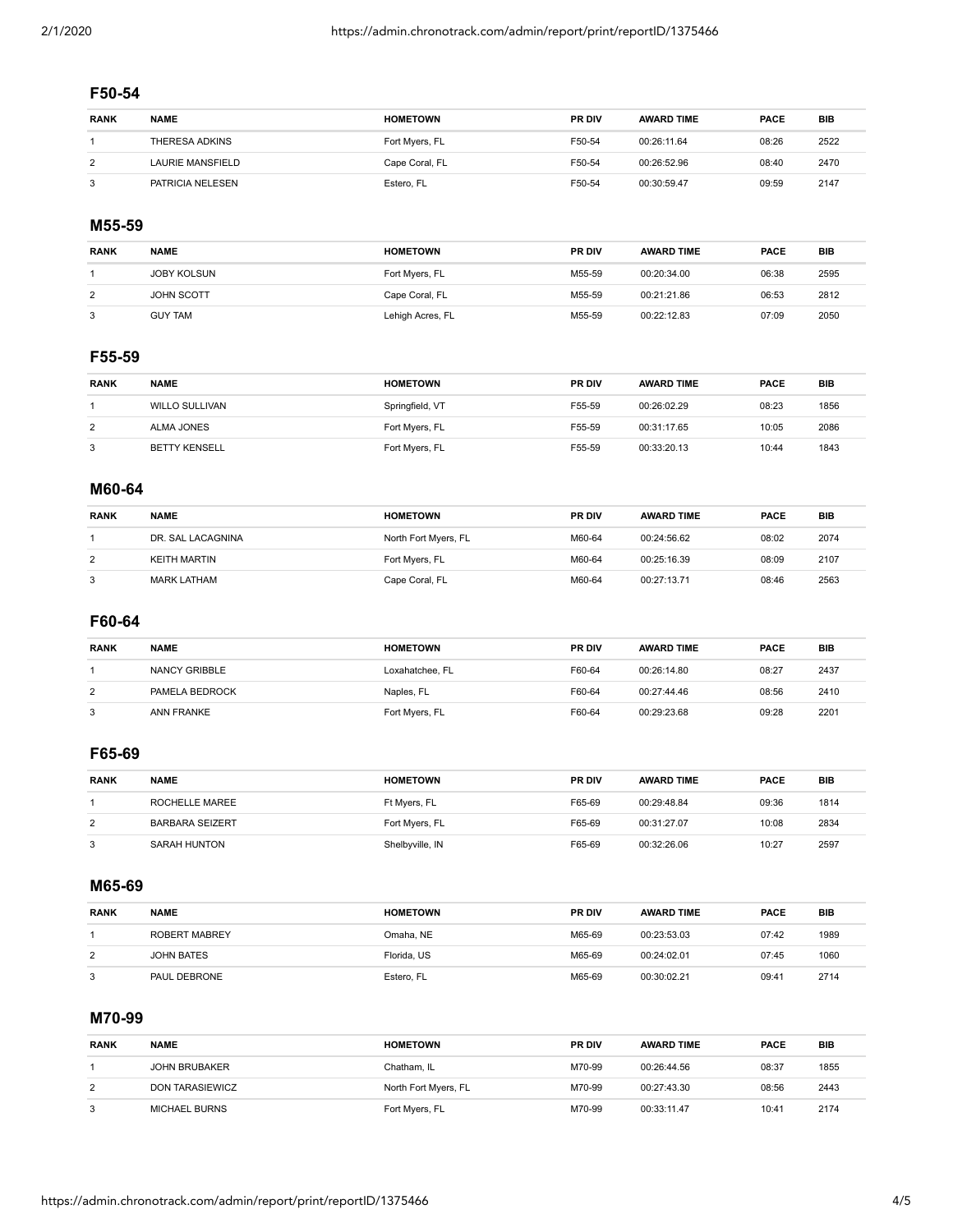# **F50-54**

| <b>RANK</b> | <b>NAME</b>      | <b>HOMETOWN</b> | <b>PR DIV</b> | <b>AWARD TIME</b> | <b>PACE</b> | BIB  |
|-------------|------------------|-----------------|---------------|-------------------|-------------|------|
|             | THERESA ADKINS   | Fort Myers, FL  | F50-54        | 00:26:11.64       | 08:26       | 2522 |
| 2           | LAURIE MANSFIELD | Cape Coral, FL  | F50-54        | 00:26:52.96       | 08:40       | 2470 |
| 3           | PATRICIA NELESEN | Estero, FL      | F50-54        | 00:30:59.47       | 09:59       | 2147 |

#### **M55-59**

| <b>RANK</b> | <b>NAME</b>        | <b>HOMETOWN</b>  | <b>PR DIV</b> | <b>AWARD TIME</b> | <b>PACE</b> | <b>BIB</b> |
|-------------|--------------------|------------------|---------------|-------------------|-------------|------------|
|             | <b>JOBY KOLSUN</b> | Fort Myers, FL   | M55-59        | 00:20:34.00       | 06:38       | 2595       |
| 2           | <b>JOHN SCOTT</b>  | Cape Coral, FL   | M55-59        | 00:21:21.86       | 06:53       | 2812       |
| 3           | <b>GUY TAM</b>     | Lehigh Acres, FL | M55-59        | 00:22:12.83       | 07:09       | 2050       |

#### **F55-59**

| <b>RANK</b> | <b>NAME</b>           | <b>HOMETOWN</b> | <b>PR DIV</b> | <b>AWARD TIME</b> | <b>PACE</b> | BIB  |
|-------------|-----------------------|-----------------|---------------|-------------------|-------------|------|
|             | <b>WILLO SULLIVAN</b> | Springfield, VT | F55-59        | 00:26:02.29       | 08:23       | 1856 |
| 2           | ALMA JONES            | Fort Myers, FL  | F55-59        | 00:31:17.65       | 10:05       | 2086 |
| 3           | <b>BETTY KENSELL</b>  | Fort Myers, FL  | F55-59        | 00:33:20.13       | 10:44       | 1843 |

#### **M60-64**

| <b>RANK</b> | <b>NAME</b>        | <b>HOMETOWN</b>      | <b>PR DIV</b> | <b>AWARD TIME</b> | PACE  | <b>BIB</b> |
|-------------|--------------------|----------------------|---------------|-------------------|-------|------------|
|             | DR. SAL LACAGNINA  | North Fort Myers, FL | M60-64        | 00:24:56.62       | 08:02 | 2074       |
| 2           | KEITH MARTIN       | Fort Myers, FL       | M60-64        | 00:25:16.39       | 08:09 | 2107       |
| 3           | <b>MARK LATHAM</b> | Cape Coral, FL       | M60-64        | 00:27:13.71       | 08:46 | 2563       |

#### **F60-64**

| <b>RANK</b> | <b>NAME</b>    | <b>HOMETOWN</b> | <b>PR DIV</b> | <b>AWARD TIME</b> | <b>PACE</b> | <b>BIB</b> |
|-------------|----------------|-----------------|---------------|-------------------|-------------|------------|
|             | NANCY GRIBBLE  | Loxahatchee, FL | F60-64        | 00:26:14.80       | 08:27       | 2437       |
| 2           | PAMELA BEDROCK | Naples, FL      | F60-64        | 00:27:44.46       | 08:56       | 2410       |
| 3           | ANN FRANKE     | Fort Myers, FL  | F60-64        | 00:29:23.68       | 09:28       | 2201       |

#### **F65-69**

| <b>RANK</b> | <b>NAME</b>            | <b>HOMETOWN</b> | <b>PR DIV</b> | <b>AWARD TIME</b> | <b>PACE</b> | <b>BIB</b> |
|-------------|------------------------|-----------------|---------------|-------------------|-------------|------------|
|             | ROCHELLE MAREE         | Ft Myers, FL    | F65-69        | 00:29:48.84       | 09:36       | 1814       |
| 2           | <b>BARBARA SEIZERT</b> | Fort Myers, FL  | F65-69        | 00:31:27.07       | 10:08       | 2834       |
|             | <b>SARAH HUNTON</b>    | Shelbyville, IN | F65-69        | 00:32:26.06       | 10:27       | 2597       |

#### **M65-69**

| <b>RANK</b> | <b>NAME</b>          | <b>HOMETOWN</b> | <b>PR DIV</b> | <b>AWARD TIME</b> | <b>PACE</b> | <b>BIB</b> |
|-------------|----------------------|-----------------|---------------|-------------------|-------------|------------|
|             | <b>ROBERT MABREY</b> | Omaha. NE       | M65-69        | 00:23:53.03       | 07:42       | 1989       |
| 2           | JOHN BATES           | Florida, US     | M65-69        | 00:24:02.01       | 07:45       | 1060       |
| 3           | PAUL DEBRONE         | Estero, FL      | M65-69        | 00:30:02.21       | 09:41       | 2714       |

#### **M70-99**

| <b>RANK</b> | <b>NAME</b>          | <b>HOMETOWN</b>      | <b>PR DIV</b> | <b>AWARD TIME</b> | PACE  | <b>BIB</b> |
|-------------|----------------------|----------------------|---------------|-------------------|-------|------------|
|             | <b>JOHN BRUBAKER</b> | Chatham, IL          | M70-99        | 00:26:44.56       | 08:37 | 1855       |
| 2           | DON TARASIEWICZ      | North Fort Myers, FL | M70-99        | 00:27:43.30       | 08:56 | 2443       |
| 3           | <b>MICHAEL BURNS</b> | Fort Myers, FL       | M70-99        | 00:33:11.47       | 10:41 | 2174       |